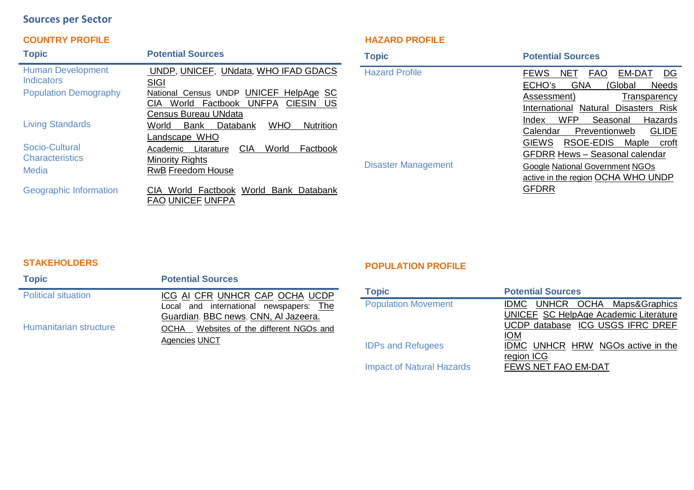# **Sources per Sector**

## **COUNTRY PROFILE**

| <b>Topic</b>                                      | <b>Potential Sources</b>                                                                                       |
|---------------------------------------------------|----------------------------------------------------------------------------------------------------------------|
| <b>Human Development</b><br>Indicators            | <b>UNDP, UNICEF, UNdata, WHO IFAD GDACS</b><br>SIGI                                                            |
| <b>Population Demography</b>                      | National Census UNDP UNICEF HelpAge SC<br>Factbook UNFPA CIESIN<br>World<br>US<br>CIA.<br>Census Bureau UNdata |
| <b>Living Standards</b>                           | <b>WHO</b><br>Databank<br><b>Nutrition</b><br>World<br>Bank<br>Landscape WHO                                   |
| Socio-Cultural<br><b>Characteristics</b><br>Media | <b>CIA</b><br>World<br>Factbook<br>Academic Litarature<br><b>Minority Rights</b><br><b>RwB Freedom House</b>   |
| <b>Geographic Information</b>                     | World Factbook World Bank Databank<br>CIA.<br><b>FAO UNICEF UNFPA</b>                                          |

### **HAZARD PROFILE**

| <b>Topic</b>               | <b>Potential Sources</b>                                                                                                                                                                                                        |
|----------------------------|---------------------------------------------------------------------------------------------------------------------------------------------------------------------------------------------------------------------------------|
| <b>Hazard Profile</b>      | <b>NET</b><br><b>FAO</b><br>EM-DAT<br><b>FEWS</b><br>DG<br>ECHO's<br><b>GNA</b><br>(Global<br><b>Needs</b><br>Assessment)<br>Transparency<br>International Natural Disasters Risk<br><b>WFP</b><br>Index<br>Seasonal<br>Hazards |
| <b>Disaster Management</b> | <b>GLIDE</b><br>Calendar<br>Preventionweb<br>RSOE-EDIS Maple<br><b>GIEWS</b><br>croft<br><b>GFDRR Hews - Seasonal calendar</b><br><b>Google National Government NGOs</b><br>active in the region OCHA WHO UNDP<br><b>GFDRR</b>  |

### **STAKEHOLDERS**

| <b>Topic</b>               | <b>Potential Sources</b>                                                                                          |
|----------------------------|-------------------------------------------------------------------------------------------------------------------|
| <b>Political situation</b> | ICG AI CFR UNHCR CAP OCHA UCDP<br>Local and international newspapers: The<br>Guardian, BBC news, CNN, Al Jazeera. |
| Humanitarian structure     | OCHA Websites of the different NGOs and<br>Agencies UNCT                                                          |

### **POPULATION PROFILE**

| <b>Topic</b>                     | <b>Potential Sources</b>                                                                                                        |
|----------------------------------|---------------------------------------------------------------------------------------------------------------------------------|
| <b>Population Movement</b>       | IDMC UNHCR OCHA Maps&Graphics<br><b>UNICEF SC HelpAge Academic Literature</b><br>UCDP database ICG USGS IFRC DREF<br><b>IOM</b> |
| <b>IDPs and Refugees</b>         | IDMC UNHCR HRW NGOs active in the<br>region ICG                                                                                 |
| <b>Impact of Natural Hazards</b> | FEWS NET FAO EM-DAT                                                                                                             |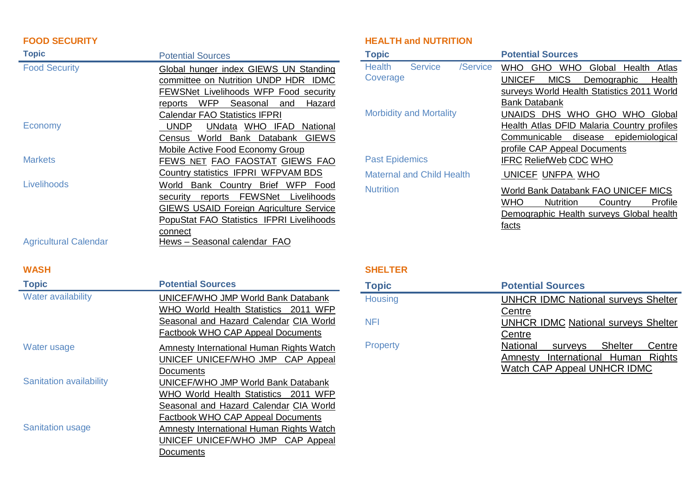### **FOOD SECURITY**

| <b>Topic</b>                 | <b>Potential Sources</b>                       |
|------------------------------|------------------------------------------------|
| <b>Food Security</b>         | Global hunger index GIEWS UN Standing          |
|                              | committee on Nutrition UNDP HDR IDMC           |
|                              | FEWSNet Livelihoods WFP Food security          |
|                              | WFP Seasonal<br>Hazard<br>reports<br>and       |
|                              | <b>Calendar FAO Statistics IFPRI</b>           |
| Economy                      | UNdata WHO IFAD National<br><b>UNDP</b>        |
|                              | Census World Bank Databank GIEWS               |
|                              | Mobile Active Food Economy Group               |
| <b>Markets</b>               | FEWS NET FAO FAOSTAT GIEWS FAO                 |
|                              | Country statistics IFPRI WFPVAM BDS            |
| Livelihoods                  | Bank Country Brief WFP Food<br>World           |
|                              | reports FEWSNet Livelihoods<br>security        |
|                              | <b>GIEWS USAID Foreign Agriculture Service</b> |
|                              | PopuStat FAO Statistics IFPRI Livelihoods      |
|                              | connect                                        |
| <b>Agricultural Calendar</b> | Hews - Seasonal calendar FAO                   |

#### **WASH**

| <b>Topic</b>                   | <b>Potential Sources</b>                                                                                                                                         |
|--------------------------------|------------------------------------------------------------------------------------------------------------------------------------------------------------------|
| <b>Water availability</b>      | UNICEF/WHO JMP World Bank Databank<br>WHO World Health Statistics 2011 WFP<br>Seasonal and Hazard Calendar CIA World<br><b>Factbook WHO CAP Appeal Documents</b> |
| Water usage                    | Amnesty International Human Rights Watch<br>UNICEF UNICEF/WHO JMP CAP Appeal                                                                                     |
| <b>Sanitation availability</b> | Documents<br>UNICEF/WHO JMP World Bank Databank<br>WHO World Health Statistics 2011 WFP                                                                          |
|                                | Seasonal and Hazard Calendar CIA World<br>Factbook WHO CAP Appeal Documents                                                                                      |
| <b>Sanitation usage</b>        | Amnesty International Human Rights Watch<br>UNICEF UNICEF/WHO JMP CAP Appeal<br>Documents                                                                        |

## **HEALTH and NUTRITION**

| <b>Topic</b>                                | <b>Potential Sources</b>                                         |
|---------------------------------------------|------------------------------------------------------------------|
| <b>Health</b><br><b>Service</b><br>/Service | <b>WHO</b><br><b>WHO</b><br><b>GHO</b><br>Global Health<br>Atlas |
| Coverage                                    | <b>UNICEF</b><br><b>MICS</b><br>Health<br>Demographic            |
|                                             | surveys World Health Statistics 2011 World                       |
|                                             | <b>Bank Databank</b>                                             |
| <b>Morbidity and Mortality</b>              | UNAIDS DHS WHO GHO WHO<br>Global                                 |
|                                             | Health Atlas DFID Malaria Country profiles                       |
|                                             | Communicable disease epidemiological                             |
|                                             | profile CAP Appeal Documents                                     |
| <b>Past Epidemics</b>                       | <b>IFRC ReliefWeb CDC WHO</b>                                    |
| <b>Maternal and Child Health</b>            | UNICEF UNFPA WHO                                                 |
| <b>Nutrition</b>                            | World Bank Databank FAO UNICEF MICS                              |
|                                             | <b>WHO</b><br><b>Nutrition</b><br>Country<br>Profile             |
|                                             | Demographic Health surveys Global health                         |
|                                             | facts                                                            |

## **SHELTER**

| <b>Topic</b>   | <b>Potential Sources</b>                             |
|----------------|------------------------------------------------------|
| <b>Housing</b> | <b>UNHCR IDMC National surveys Shelter</b>           |
| NFI            | Centre<br><b>UNHCR IDMC National surveys Shelter</b> |
|                | Centre                                               |
| Property       | National<br>surveys Shelter<br>Centre                |
|                | International Human Rights<br>Amnesty                |
|                | Watch CAP Appeal UNHCR IDMC                          |